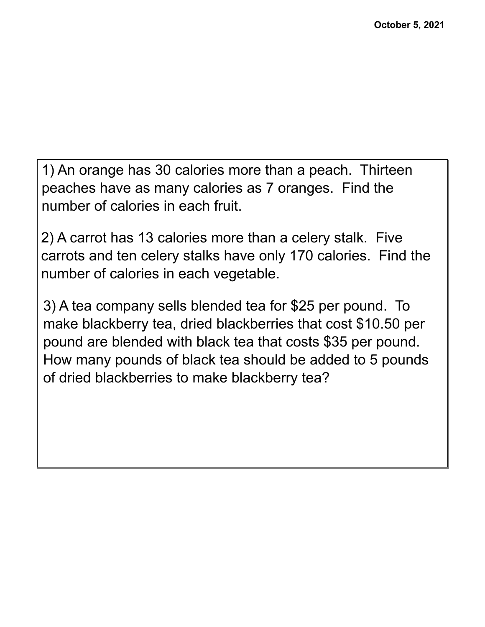1) An orange has 30 calories more than a peach. Thirteen peaches have as many calories as 7 oranges. Find the number of calories in each fruit.

2) A carrot has 13 calories more than a celery stalk. Five carrots and ten celery stalks have only 170 calories. Find the number of calories in each vegetable.

3) A tea company sells blended tea for \$25 per pound. To make blackberry tea, dried blackberries that cost \$10.50 per pound are blended with black tea that costs \$35 per pound. How many pounds of black tea should be added to 5 pounds of dried blackberries to make blackberry tea?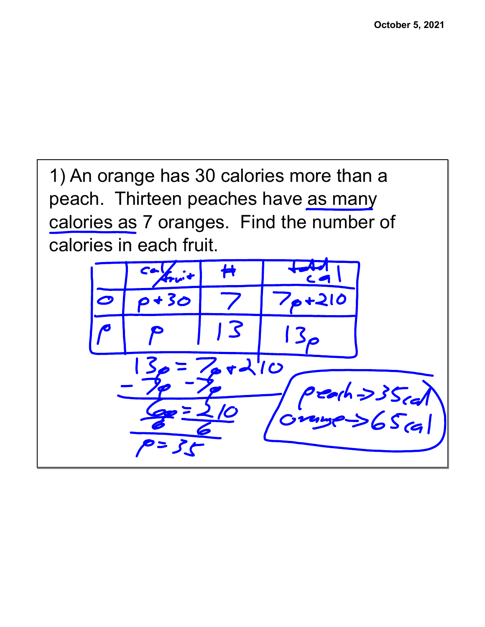1) An orange has 30 calories more than a peach. Thirteen peaches have as many calories as 7 oranges. Find the number of calories in each fruit.

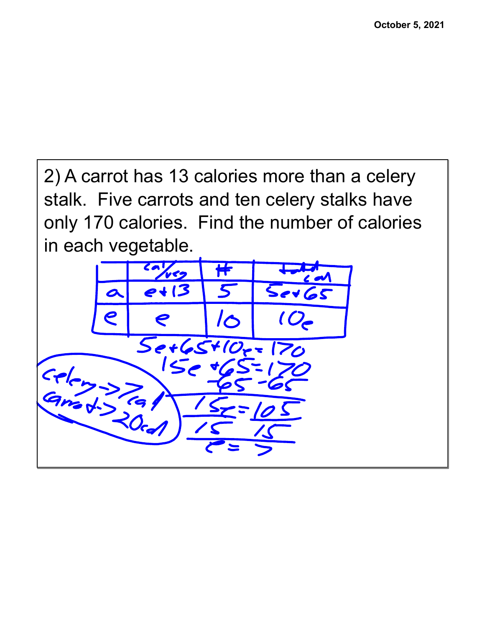2) A carrot has 13 calories more than a celery stalk. Five carrots and ten celery stalks have only 170 calories. Find the number of calories in each vegetable.